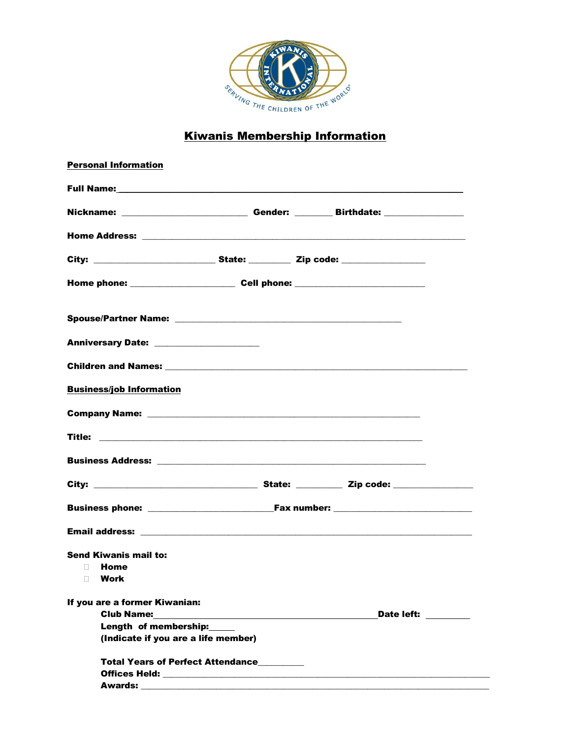

## **Kiwanis Membership Information**

| <b>Personal Information</b>                                                                                                                                                                                                    |  |            |
|--------------------------------------------------------------------------------------------------------------------------------------------------------------------------------------------------------------------------------|--|------------|
|                                                                                                                                                                                                                                |  |            |
| Nickname: _____________________________Gender: ___________Birthdate: ____________                                                                                                                                              |  |            |
|                                                                                                                                                                                                                                |  |            |
|                                                                                                                                                                                                                                |  |            |
|                                                                                                                                                                                                                                |  |            |
|                                                                                                                                                                                                                                |  |            |
| Anniversary Date: ____________________                                                                                                                                                                                         |  |            |
|                                                                                                                                                                                                                                |  |            |
| <b>Business/job Information</b>                                                                                                                                                                                                |  |            |
|                                                                                                                                                                                                                                |  |            |
|                                                                                                                                                                                                                                |  |            |
|                                                                                                                                                                                                                                |  |            |
|                                                                                                                                                                                                                                |  |            |
|                                                                                                                                                                                                                                |  |            |
| Email address: experience and a series of the series of the series of the series of the series of the series of the series of the series of the series of the series of the series of the series of the series of the series o |  |            |
| <b>Send Kiwanis mail to:</b>                                                                                                                                                                                                   |  |            |
| Home<br>$\Box$<br><b>Work</b>                                                                                                                                                                                                  |  |            |
| If you are a former Kiwanian:                                                                                                                                                                                                  |  |            |
|                                                                                                                                                                                                                                |  | Date left: |
| Length of membership:                                                                                                                                                                                                          |  |            |
| (Indicate if you are a life member)                                                                                                                                                                                            |  |            |
| <b>Total Years of Perfect Attendance</b>                                                                                                                                                                                       |  |            |
|                                                                                                                                                                                                                                |  |            |
|                                                                                                                                                                                                                                |  |            |